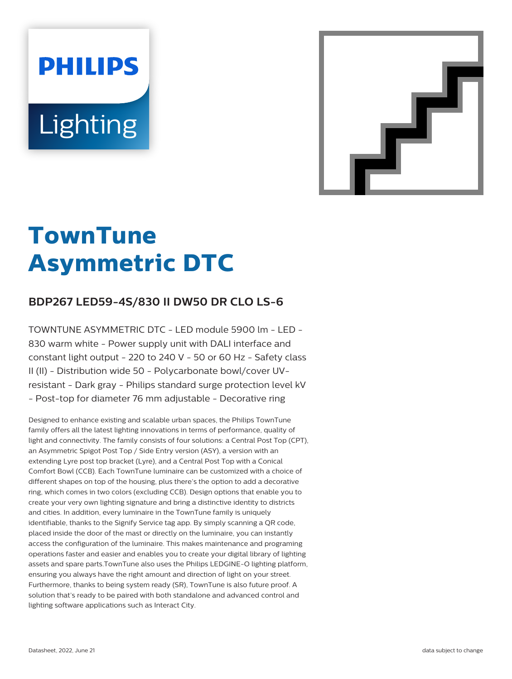# **PHILIPS Lighting**



# **TownTune Asymmetric DTC**

## **BDP267 LED59-4S/830 II DW50 DR CLO LS-6**

TOWNTUNE ASYMMETRIC DTC - LED module 5900 lm - LED - 830 warm white - Power supply unit with DALI interface and constant light output - 220 to 240 V - 50 or 60 Hz - Safety class II (II) - Distribution wide 50 - Polycarbonate bowl/cover UVresistant - Dark gray - Philips standard surge protection level kV - Post-top for diameter 76 mm adjustable - Decorative ring

Designed to enhance existing and scalable urban spaces, the Philips TownTune family offers all the latest lighting innovations in terms of performance, quality of light and connectivity. The family consists of four solutions: a Central Post Top (CPT), an Asymmetric Spigot Post Top / Side Entry version (ASY), a version with an extending Lyre post top bracket (Lyre), and a Central Post Top with a Conical Comfort Bowl (CCB). Each TownTune luminaire can be customized with a choice of different shapes on top of the housing, plus there's the option to add a decorative ring, which comes in two colors (excluding CCB). Design options that enable you to create your very own lighting signature and bring a distinctive identity to districts and cities. In addition, every luminaire in the TownTune family is uniquely identifiable, thanks to the Signify Service tag app. By simply scanning a QR code, placed inside the door of the mast or directly on the luminaire, you can instantly access the configuration of the luminaire. This makes maintenance and programing operations faster and easier and enables you to create your digital library of lighting assets and spare parts.TownTune also uses the Philips LEDGINE-O lighting platform, ensuring you always have the right amount and direction of light on your street. Furthermore, thanks to being system ready (SR), TownTune is also future proof. A solution that's ready to be paired with both standalone and advanced control and lighting software applications such as Interact City.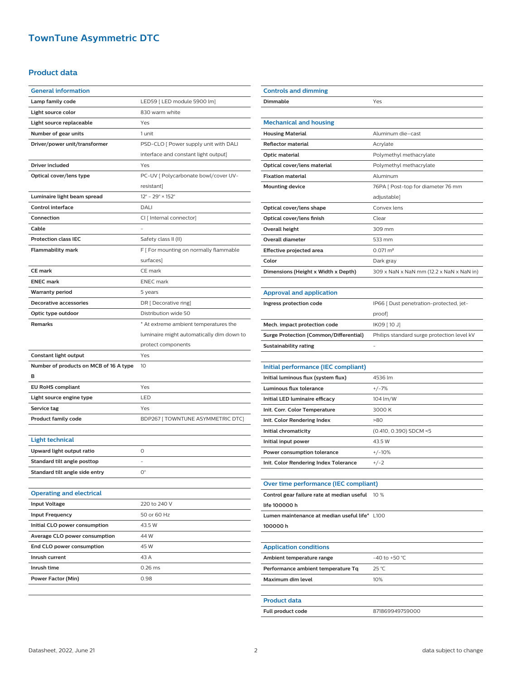### **TownTune Asymmetric DTC**

#### **Product data**

| <b>General information</b>             |                                                            |
|----------------------------------------|------------------------------------------------------------|
| Lamp family code                       | LED59 [ LED module 5900 lm]                                |
| Light source color                     | 830 warm white                                             |
| Light source replaceable               | Yes                                                        |
| Number of gear units                   | 1 unit                                                     |
| Driver/power unit/transformer          | PSD-CLO [ Power supply unit with DALI                      |
|                                        | interface and constant light output]                       |
| Driver included                        | Yes                                                        |
|                                        |                                                            |
| Optical cover/lens type                | PC-UV [ Polycarbonate bowl/cover UV-                       |
|                                        | resistant]<br>$12^{\circ} - 29^{\circ} \times 152^{\circ}$ |
| Luminaire light beam spread            |                                                            |
| <b>Control interface</b>               | DALI                                                       |
| Connection                             | CI [ Internal connector]                                   |
| Cable                                  |                                                            |
| <b>Protection class IEC</b>            | Safety class II (II)                                       |
| <b>Flammability mark</b>               | F [ For mounting on normally flammable                     |
|                                        | surfaces]                                                  |
| <b>CE</b> mark                         | CE mark                                                    |
| <b>ENEC mark</b>                       | <b>ENEC</b> mark                                           |
| <b>Warranty period</b>                 | 5 years                                                    |
| <b>Decorative accessories</b>          | DR [ Decorative ring]                                      |
| Optic type outdoor                     | Distribution wide 50                                       |
| <b>Remarks</b>                         | * At extreme ambient temperatures the                      |
|                                        | luminaire might automatically dim down to                  |
|                                        |                                                            |
|                                        | protect components                                         |
| Constant light output                  | Yes                                                        |
| Number of products on MCB of 16 A type | 10                                                         |
| в                                      |                                                            |
| <b>EU RoHS compliant</b>               | Yes                                                        |
| Light source engine type               | LED                                                        |
| Service tag                            | Yes                                                        |
| <b>Product family code</b>             | BDP267 [TOWNTUNE ASYMMETRIC DTC]                           |
|                                        |                                                            |
| <b>Light technical</b>                 |                                                            |
| Upward light output ratio              | O                                                          |
| Standard tilt angle posttop            |                                                            |
| Standard tilt angle side entry         | 0°                                                         |
|                                        |                                                            |
| <b>Operating and electrical</b>        |                                                            |
| <b>Input Voltage</b>                   | 220 to 240 V                                               |
| <b>Input Frequency</b>                 | 50 or 60 Hz                                                |
| Initial CLO power consumption          | 43.5 W                                                     |
| <b>Average CLO power consumption</b>   | 44 W                                                       |
| End CLO power consumption              | 45 W                                                       |
| Inrush current                         | 43 A                                                       |
| Inrush time                            | $0.26$ ms                                                  |
| <b>Power Factor (Min)</b>              | 0.98                                                       |

| <b>Controls and dimming</b>                   |                                            |
|-----------------------------------------------|--------------------------------------------|
| Dimmable                                      | Yes                                        |
|                                               |                                            |
| <b>Mechanical and housing</b>                 |                                            |
| <b>Housing Material</b>                       | Aluminum die-cast                          |
| Reflector material                            | Acrylate                                   |
| Optic material                                | Polymethyl methacrylate                    |
| Optical cover/lens material                   | Polymethyl methacrylate                    |
| <b>Fixation material</b>                      | Aluminum                                   |
| <b>Mounting device</b>                        | 76PA [ Post-top for diameter 76 mm         |
|                                               | adjustable]                                |
| Optical cover/lens shape                      | Convex lens                                |
| Optical cover/lens finish                     | Clear                                      |
| Overall height                                | 309 mm                                     |
| <b>Overall diameter</b>                       | 533 mm                                     |
| Effective projected area                      | $0.071 \text{ m}^2$                        |
| Color                                         | Dark gray                                  |
| Dimensions (Height x Width x Depth)           | 309 x NaN x NaN mm (12.2 x NaN x NaN in)   |
|                                               |                                            |
| Approval and application                      |                                            |
| Ingress protection code                       | IP66 [ Dust penetration-protected, jet-    |
|                                               | proof]                                     |
| Mech. impact protection code                  | IK09 [10 J]                                |
| <b>Surge Protection (Common/Differential)</b> | Philips standard surge protection level kV |
| <b>Sustainability rating</b>                  |                                            |
|                                               |                                            |
| Initial performance (IEC compliant)           |                                            |
| Initial luminous flux (system flux)           | 4536 lm                                    |
| Luminous flux tolerance                       | $+/-7%$                                    |
| Initial LED luminaire efficacy                | 104 lm/W                                   |
| Init. Corr. Color Temperature                 | 3000 K                                     |
| Init. Color Rendering Index                   | >80                                        |
| Initial chromaticity                          | (0.410, 0.390) SDCM <5                     |
| Initial input power                           | 43.5 W                                     |
| Power consumption tolerance                   | $+/-10%$                                   |
| Init. Color Rendering Index Tolerance         | $+/-2$                                     |
|                                               |                                            |
| Over time performance (IEC compliant)         |                                            |
| Control gear failure rate at median useful    | 10 %                                       |
| life 100000 h                                 |                                            |
| Lumen maintenance at median useful life* L100 |                                            |
| 100000h                                       |                                            |
|                                               |                                            |
| <b>Application conditions</b>                 |                                            |
| Ambient temperature range                     | -40 to +50 $^{\circ}$ C                    |
| Performance ambient temperature Tq            | 25 °C                                      |
| Maximum dim level                             | 10%                                        |
|                                               |                                            |
| <b>Product data</b>                           |                                            |
|                                               |                                            |